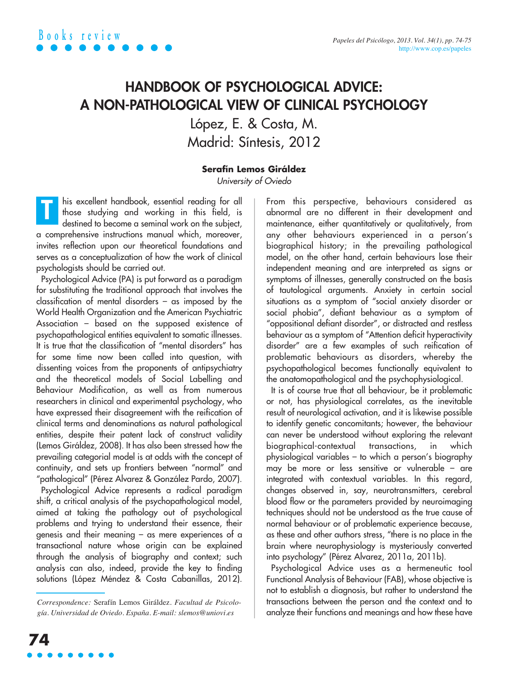## **HANDBOOK OF PSYCHOLOGICAL ADVICE: A NON-PATHOLOGICAL VIEW OF CLINICAL PSYCHOLOGY**

López, E. & Costa, M. Madrid: Síntesis, 2012

## **Serafín Lemos Giráldez**

University of Oviedo

his excellent handbook, essential reading for all those studying and working in this field, is destined to become a seminal work on the subject, a comprehensive instructions manual which, moreover, invites reflection upon our theoretical foundations and serves as a conceptualization of how the work of clinical psychologists should be carried out. **T**

Psychological Advice (PA) is put forward as a paradigm for substituting the traditional approach that involves the classification of mental disorders – as imposed by the World Health Organization and the American Psychiatric Association – based on the supposed existence of psychopathological entities equivalent to somatic illnesses. It is true that the classification of "mental disorders" has for some time now been called into question, with dissenting voices from the proponents of antipsychiatry and the theoretical models of Social Labelling and Behaviour Modification, as well as from numerous researchers in clinical and experimental psychology, who have expressed their disagreement with the reification of clinical terms and denominations as natural pathological entities, despite their patent lack of construct validity (Lemos Giráldez, 2008). It has also been stressed how the prevailing categorial model is at odds with the concept of continuity, and sets up frontiers between "normal" and "pathological" (Pérez Alvarez & González Pardo, 2007). Psychological Advice represents a radical paradigm shift, a critical analysis of the psychopathological model, aimed at taking the pathology out of psychological problems and trying to understand their essence, their genesis and their meaning – as mere experiences of a transactional nature whose origin can be explained through the analysis of biography and context; such analysis can also, indeed, provide the key to finding solutions (López Méndez & Costa Cabanillas, 2012).

From this perspective, behaviours considered as abnormal are no different in their development and maintenance, either quantitatively or qualitatively, from any other behaviours experienced in a person's biographical history; in the prevailing pathological model, on the other hand, certain behaviours lose their independent meaning and are interpreted as signs or symptoms of illnesses, generally constructed on the basis of tautological arguments. Anxiety in certain social situations as a symptom of "social anxiety disorder or social phobia", defiant behaviour as a symptom of "oppositional defiant disorder", or distracted and restless behaviour as a symptom of "Attention deficit hyperactivity disorder" are a few examples of such reification of problematic behaviours as disorders, whereby the psychopathological becomes functionally equivalent to the anatomopathological and the psychophysiological.

It is of course true that all behaviour, be it problematic or not, has physiological correlates, as the inevitable result of neurological activation, and it is likewise possible to identify genetic concomitants; however, the behaviour can never be understood without exploring the relevant biographical-contextual transactions, in which physiological variables – to which a person's biography may be more or less sensitive or vulnerable – are integrated with contextual variables. In this regard, changes observed in, say, neurotransmitters, cerebral blood flow or the parameters provided by neuroimaging techniques should not be understood as the true cause of normal behaviour or of problematic experience because, as these and other authors stress, "there is no place in the brain where neurophysiology is mysteriously converted into psychology" (Pérez Alvarez, 2011a, 2011b).

Psychological Advice uses as a hermeneutic tool Functional Analysis of Behaviour (FAB), whose objective is not to establish a diagnosis, but rather to understand the transactions between the person and the context and to analyze their functions and meanings and how these have

*Correspondence:* Serafín Lemos Giráldez. *Facultad de Psicología. Universidad de Oviedo. España. E-mail: slemos@uniovi.es*